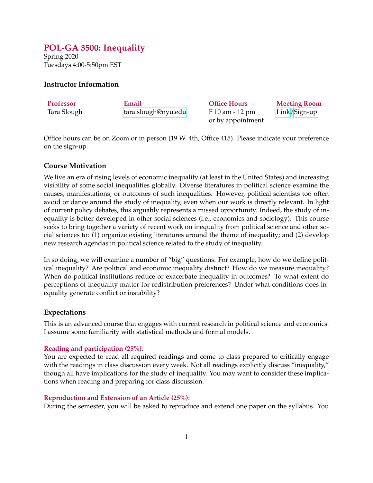# <span id="page-0-0"></span>**POL-GA 3500: Inequality**

Spring 2020 Tuesdays 4:00-5:50pm EST

# **Instructor Information**

| Professor   | Email               | <b>Office Hours</b> | <b>Meeting Room</b> |
|-------------|---------------------|---------------------|---------------------|
| Tara Slough | tara.slough@nyu.edu | F 10 am - 12 pm     | $Link/Sign-up$      |
|             |                     | or by appointment   |                     |

Office hours can be on Zoom or in person (19 W. 4th, Office 415). Please indicate your preference on the sign-up.

# **Course Motivation**

We live an era of rising levels of economic inequality (at least in the United States) and increasing visibility of some social inequalities globally. Diverse literatures in political science examine the causes, manifestations, or outcomes of such inequalities. However, political scientists too often avoid or dance around the study of inequality, even when our work is directly relevant. In light of current policy debates, this arguably represents a missed opportunity. Indeed, the study of inequality is better developed in other social sciences (i.e., economics and sociology). This course seeks to bring together a variety of recent work on inequality from political science and other social sciences to: (1) organize existing literatures around the theme of inequality; and (2) develop new research agendas in political science related to the study of inequality.

In so doing, we will examine a number of "big" questions. For example, how do we define political inequality? Are political and economic inequality distinct? How do we measure inequality? When do political institutions reduce or exacerbate inequality in outcomes? To what extent do perceptions of inequality matter for redistribution preferences? Under what conditions does inequality generate conflict or instability?

# **Expectations**

This is an advanced course that engages with current research in political science and economics. I assume some familiarity with statistical methods and formal models.

## **Reading and participation (25%)**:

You are expected to read all required readings and come to class prepared to critically engage with the readings in class discussion every week. Not all readings explicitly discuss "inequality," though all have implications for the study of inequality. You may want to consider these implications when reading and preparing for class discussion.

## **Reproduction and Extension of an Article (25%)**:

During the semester, you will be asked to reproduce and extend one paper on the syllabus. You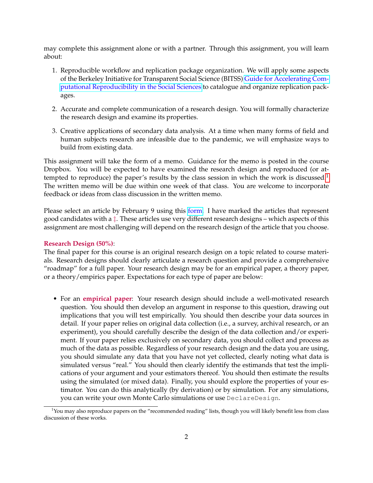may complete this assignment alone or with a partner. Through this assignment, you will learn about:

- 1. Reproducible workflow and replication package organization. We will apply some aspects of the Berkeley Initiative for Transparent Social Science (BITSS) [Guide for Accelerating Com](https://bitss.github.io/ACRE/)[putational Reproducibility in the Social Sciences](https://bitss.github.io/ACRE/) to catalogue and organize replication packages.
- 2. Accurate and complete communication of a research design. You will formally characterize the research design and examine its properties.
- 3. Creative applications of secondary data analysis. At a time when many forms of field and human subjects research are infeasible due to the pandemic, we will emphasize ways to build from existing data.

This assignment will take the form of a memo. Guidance for the memo is posted in the course Dropbox. You will be expected to have examined the research design and reproduced (or at-tempted to reproduce) the paper's results by the class session in which the work is discussed.<sup>[1](#page-0-0)</sup> The written memo will be due within one week of that class. You are welcome to incorporate feedback or ideas from class discussion in the written memo.

Please select an article by February 9 using this [form.](https://nyu.qualtrics.com/jfe/form/SV_2ufgHhqab18Mm4m) I have marked the articles that represent good candidates with a ‡. These articles use very different research designs – which aspects of this assignment are most challenging will depend on the research design of the article that you choose.

#### **Research Design (50%)**:

The final paper for this course is an original research design on a topic related to course materials. Research designs should clearly articulate a research question and provide a comprehensive "roadmap" for a full paper. Your research design may be for an empirical paper, a theory paper, or a theory/empirics paper. Expectations for each type of paper are below:

• For an **empirical paper**: Your research design should include a well-motivated research question. You should then develop an argument in response to this question, drawing out implications that you will test empirically. You should then describe your data sources in detail. If your paper relies on original data collection (i.e., a survey, archival research, or an experiment), you should carefully describe the design of the data collection and/or experiment. If your paper relies exclusively on secondary data, you should collect and process as much of the data as possible. Regardless of your research design and the data you are using, you should simulate any data that you have not yet collected, clearly noting what data is simulated versus "real." You should then clearly identify the estimands that test the implications of your argument and your estimators thereof. You should then estimate the results using the simulated (or mixed data). Finally, you should explore the properties of your estimator. You can do this analytically (by derivation) or by simulation. For any simulations, you can write your own Monte Carlo simulations or use DeclareDesign.

 $<sup>1</sup>$ You may also reproduce papers on the "recommended reading" lists, though you will likely benefit less from class</sup> discussion of these works.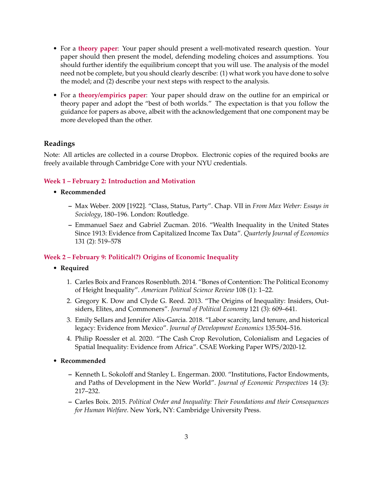- For a **theory paper**: Your paper should present a well-motivated research question. Your paper should then present the model, defending modeling choices and assumptions. You should further identify the equilibrium concept that you will use. The analysis of the model need not be complete, but you should clearly describe: (1) what work you have done to solve the model; and (2) describe your next steps with respect to the analysis.
- For a **theory/empirics paper**: Your paper should draw on the outline for an empirical or theory paper and adopt the "best of both worlds." The expectation is that you follow the guidance for papers as above, albeit with the acknowledgement that one component may be more developed than the other.

# **Readings**

Note: All articles are collected in a course Dropbox. Electronic copies of the required books are freely available through Cambridge Core with your NYU credentials.

## **Week 1 – February 2: Introduction and Motivation**

- **Recommended**
	- **–** Max Weber. 2009 [1922]. "Class, Status, Party". Chap. VII in *From Max Weber: Essays in Sociology*, 180–196. London: Routledge.
	- **–** Emmanuel Saez and Gabriel Zucman. 2016. "Wealth Inequality in the United States Since 1913: Evidence from Capitalized Income Tax Data". *Quarterly Journal of Economics* 131 (2): 519–578

## **Week 2 – February 9: Political(?) Origins of Economic Inequality**

- **Required**
	- 1. Carles Boix and Frances Rosenbluth. 2014. "Bones of Contention: The Political Economy of Height Inequality". *American Political Science Review* 108 (1): 1–22.
	- 2. Gregory K. Dow and Clyde G. Reed. 2013. "The Origins of Inequality: Insiders, Outsiders, Elites, and Commoners". *Journal of Political Economy* 121 (3): 609–641.
	- 3. Emily Sellars and Jennifer Alix-Garcia. 2018. "Labor scarcity, land tenure, and historical legacy: Evidence from Mexico". *Journal of Development Economics* 135:504–516.
	- 4. Philip Roessler et al. 2020. "The Cash Crop Revolution, Colonialism and Legacies of Spatial Inequality: Evidence from Africa". CSAE Working Paper WPS/2020-12.
- **Recommended**
	- **–** Kenneth L. Sokoloff and Stanley L. Engerman. 2000. "Institutions, Factor Endowments, and Paths of Development in the New World". *Journal of Economic Perspectives* 14 (3): 217–232.
	- **–** Carles Boix. 2015. *Political Order and Inequality: Their Foundations and their Consequences for Human Welfare*. New York, NY: Cambridge University Press.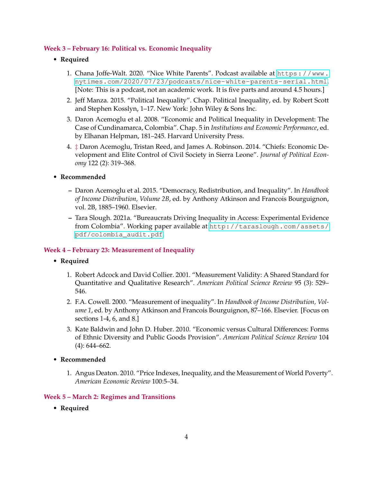# **Week 3 – February 16: Political vs. Economic Inequality**

# • **Required**

- 1. Chana Joffe-Walt. 2020. "Nice White Parents". Podcast available at [https://www.](https://www.nytimes.com/2020/07/23/podcasts/nice-white-parents-serial.html) [nytimes.com/2020/07/23/podcasts/nice-white-parents-serial.html](https://www.nytimes.com/2020/07/23/podcasts/nice-white-parents-serial.html). [Note: This is a podcast, not an academic work. It is five parts and around 4.5 hours.]
- 2. Jeff Manza. 2015. "Political Inequality". Chap. Political Inequality, ed. by Robert Scott and Stephen Kosslyn, 1–17. New York: John Wiley & Sons Inc.
- 3. Daron Acemoglu et al. 2008. "Economic and Political Inequality in Development: The Case of Cundinamarca, Colombia". Chap. 5 in *Institutions and Economic Performance*, ed. by Elhanan Helpman, 181–245. Harvard University Press.
- 4. ‡ Daron Acemoglu, Tristan Reed, and James A. Robinson. 2014. "Chiefs: Economic Development and Elite Control of Civil Society in Sierra Leone". *Journal of Political Economy* 122 (2): 319–368.

# • **Recommended**

- **–** Daron Acemoglu et al. 2015. "Democracy, Redistribution, and Inequality". In *Handbook of Income Distribution, Volume 2B*, ed. by Anthony Atkinson and Francois Bourguignon, vol. 2B, 1885–1960. Elsevier.
- **–** Tara Slough. 2021a. "Bureaucrats Driving Inequality in Access: Experimental Evidence from Colombia". Working paper available at [http://taraslough.com/assets/](http://taraslough.com/assets/pdf/colombia_audit.pdf) [pdf/colombia\\_audit.pdf](http://taraslough.com/assets/pdf/colombia_audit.pdf).

## **Week 4 – February 23: Measurement of Inequality**

# • **Required**

- 1. Robert Adcock and David Collier. 2001. "Measurement Validity: A Shared Standard for Quantitative and Qualitative Research". *American Political Science Review* 95 (3): 529– 546.
- 2. F.A. Cowell. 2000. "Measurement of inequality". In *Handbook of Income Distribution, Volume 1*, ed. by Anthony Atkinson and Francois Bourguignon, 87–166. Elsevier. [Focus on sections 1-4, 6, and 8.]
- 3. Kate Baldwin and John D. Huber. 2010. "Economic versus Cultural Differences: Forms of Ethnic Diversity and Public Goods Provision". *American Political Science Review* 104 (4): 644–662.

## • **Recommended**

1. Angus Deaton. 2010. "Price Indexes, Inequality, and the Measurement of World Poverty". *American Economic Review* 100:5–34.

## **Week 5 – March 2: Regimes and Transitions**

• **Required**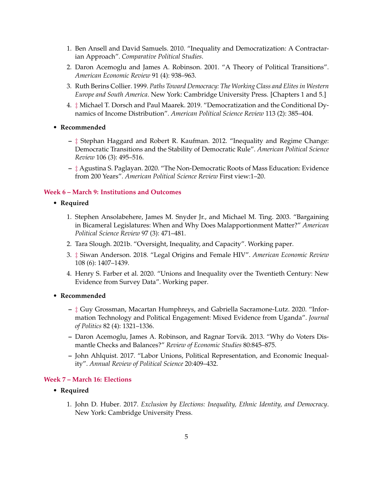- 1. Ben Ansell and David Samuels. 2010. "Inequality and Democratization: A Contractarian Approach". *Comparative Political Studies*.
- 2. Daron Acemoglu and James A. Robinson. 2001. "A Theory of Political Transitions". *American Economic Review* 91 (4): 938–963.
- 3. Ruth Berins Collier. 1999. *Paths Toward Democracy: The Working Class and Elites in Western Europe and South America*. New York: Cambridge University Press. [Chapters 1 and 5.]
- 4. ‡ Michael T. Dorsch and Paul Maarek. 2019. "Democratization and the Conditional Dynamics of Income Distribution". *American Political Science Review* 113 (2): 385–404.
- **Recommended**
	- **–** ‡ Stephan Haggard and Robert R. Kaufman. 2012. "Inequality and Regime Change: Democratic Transitions and the Stability of Democratic Rule". *American Political Science Review* 106 (3): 495–516.
	- **–** ‡ Agustina S. Paglayan. 2020. "The Non-Democratic Roots of Mass Education: Evidence from 200 Years". *American Political Science Review* First view:1–20.

#### **Week 6 – March 9: Institutions and Outcomes**

- **Required**
	- 1. Stephen Ansolabehere, James M. Snyder Jr., and Michael M. Ting. 2003. "Bargaining in Bicameral Legislatures: When and Why Does Malapportionment Matter?" *American Political Science Review* 97 (3): 471–481.
	- 2. Tara Slough. 2021b. "Oversight, Inequality, and Capacity". Working paper.
	- 3. ‡ Siwan Anderson. 2018. "Legal Origins and Female HIV". *American Economic Review* 108 (6): 1407–1439.
	- 4. Henry S. Farber et al. 2020. "Unions and Inequality over the Twentieth Century: New Evidence from Survey Data". Working paper.
- **Recommended**
	- **–** ‡ Guy Grossman, Macartan Humphreys, and Gabriella Sacramone-Lutz. 2020. "Information Technology and Political Engagement: Mixed Evidence from Uganda". *Journal of Politics* 82 (4): 1321–1336.
	- **–** Daron Acemoglu, James A. Robinson, and Ragnar Torvik. 2013. "Why do Voters Dismantle Checks and Balances?" *Review of Economic Studies* 80:845–875.
	- **–** John Ahlquist. 2017. "Labor Unions, Political Representation, and Economic Inequality". *Annual Review of Political Science* 20:409–432.

## **Week 7 – March 16: Elections**

- **Required**
	- 1. John D. Huber. 2017. *Exclusion by Elections: Inequality, Ethnic Identity, and Democracy*. New York: Cambridge University Press.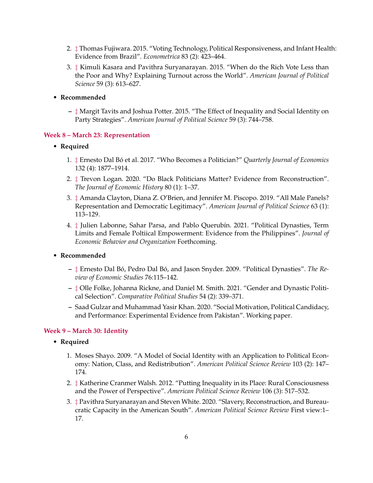- 2. ‡ Thomas Fujiwara. 2015. "Voting Technology, Political Responsiveness, and Infant Health: Evidence from Brazil". *Econometrica* 83 (2): 423–464.
- 3. ‡ Kimuli Kasara and Pavithra Suryanarayan. 2015. "When do the Rich Vote Less than the Poor and Why? Explaining Turnout across the World". *American Journal of Political Science* 59 (3): 613–627.
- **Recommended**
	- **–** ‡ Margit Tavits and Joshua Potter. 2015. "The Effect of Inequality and Social Identity on Party Strategies". *American Journal of Political Science* 59 (3): 744–758.

#### **Week 8 – March 23: Representation**

- **Required**
	- 1.  $\ddagger$  Ernesto Dal Bó et al. 2017. "Who Becomes a Politician?" *Quarterly Journal of Economics* 132 (4): 1877–1914.
	- 2. ‡ Trevon Logan. 2020. "Do Black Politicians Matter? Evidence from Reconstruction". *The Journal of Economic History* 80 (1): 1–37.
	- 3. ‡ Amanda Clayton, Diana Z. O'Brien, and Jennifer M. Piscopo. 2019. "All Male Panels? Representation and Democratic Legitimacy". *American Journal of Political Science* 63 (1): 113–129.
	- 4.  $\ddagger$  Julien Labonne, Sahar Parsa, and Pablo Querubín. 2021. "Political Dynasties, Term Limits and Female Poltiical Empowerment: Evidence from the Philippines". *Journal of Economic Behavior and Organization* Forthcoming.
- **Recommended**
	- $\ddagger$  Ernesto Dal Bó, Pedro Dal Bó, and Jason Snyder. 2009. "Political Dynasties". The Re*view of Economic Studies* 76:115–142.
	- **–** ‡ Olle Folke, Johanna Rickne, and Daniel M. Smith. 2021. "Gender and Dynastic Political Selection". *Comparative Political Studies* 54 (2): 339–371.
	- **–** Saad Gulzar and Muhammad Yasir Khan. 2020. "Social Motivation, Political Candidacy, and Performance: Experimental Evidence from Pakistan". Working paper.

## **Week 9 – March 30: Identity**

- **Required**
	- 1. Moses Shayo. 2009. "A Model of Social Identity with an Application to Political Economy: Nation, Class, and Redistribution". *American Political Science Review* 103 (2): 147– 174.
	- 2. ‡ Katherine Cranmer Walsh. 2012. "Putting Inequality in its Place: Rural Consciousness and the Power of Perspective". *American Political Science Review* 106 (3): 517–532.
	- 3. ‡ Pavithra Suryanarayan and Steven White. 2020. "Slavery, Reconstruction, and Bureaucratic Capacity in the American South". *American Political Science Review* First view:1– 17.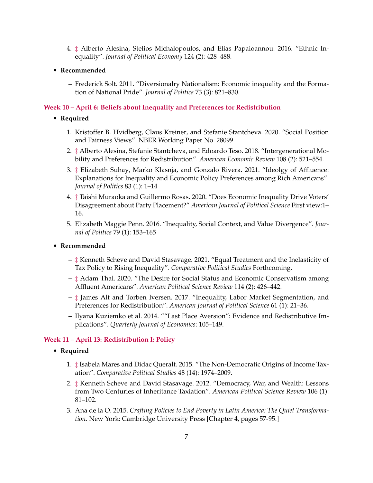- 4. ‡ Alberto Alesina, Stelios Michalopoulos, and Elias Papaioannou. 2016. "Ethnic Inequality". *Journal of Political Economy* 124 (2): 428–488.
- **Recommended**
	- **–** Frederick Solt. 2011. "Diversionalry Nationalism: Economic inequality and the Formation of National Pride". *Journal of Politics* 73 (3): 821–830.

#### **Week 10 – April 6: Beliefs about Inequality and Preferences for Redistribution**

- **Required**
	- 1. Kristoffer B. Hvidberg, Claus Kreiner, and Stefanie Stantcheva. 2020. "Social Position and Fairness Views". NBER Working Paper No. 28099.
	- 2. ‡ Alberto Alesina, Stefanie Stantcheva, and Edoardo Teso. 2018. "Intergenerational Mobility and Preferences for Redistribution". *American Economic Review* 108 (2): 521–554.
	- 3. ‡ Elizabeth Suhay, Marko Klasnja, and Gonzalo Rivera. 2021. "Ideolgy of Affluence: Explanations for Inequality and Economic Policy Preferences among Rich Americans". *Journal of Politics* 83 (1): 1–14
	- 4. ‡ Taishi Muraoka and Guillermo Rosas. 2020. "Does Economic Inequality Drive Voters' Disagreement about Party Placement?" *American Journal of Political Science* First view:1– 16.
	- 5. Elizabeth Maggie Penn. 2016. "Inequality, Social Context, and Value Divergence". *Journal of Politics* 79 (1): 153–165
- **Recommended**
	- **–** ‡ Kenneth Scheve and David Stasavage. 2021. "Equal Treatment and the Inelasticity of Tax Policy to Rising Inequality". *Comparative Political Studies* Forthcoming.
	- **–** ‡ Adam Thal. 2020. "The Desire for Social Status and Economic Conservatism among Affluent Americans". *American Political Science Review* 114 (2): 426–442.
	- **–** ‡ James Alt and Torben Iversen. 2017. "Inequality, Labor Market Segmentation, and Preferences for Redistribution". *American Journal of Political Science* 61 (1): 21–36.
	- **–** Ilyana Kuziemko et al. 2014. ""Last Place Aversion": Evidence and Redistributive Implications". *Quarterly Journal of Economics*: 105–149.

#### **Week 11 – April 13: Redistribution I: Policy**

- **Required**
	- 1. ‡ Isabela Mares and Didac Queralt. 2015. "The Non-Democratic Origins of Income Taxation". *Comparative Political Studies* 48 (14): 1974–2009.
	- 2. ‡ Kenneth Scheve and David Stasavage. 2012. "Democracy, War, and Wealth: Lessons from Two Centuries of Inheritance Taxiation". *American Political Science Review* 106 (1): 81–102.
	- 3. Ana de la O. 2015. *Crafting Policies to End Poverty in Latin America: The Quiet Transformation*. New York: Cambridge University Press [Chapter 4, pages 57-95.]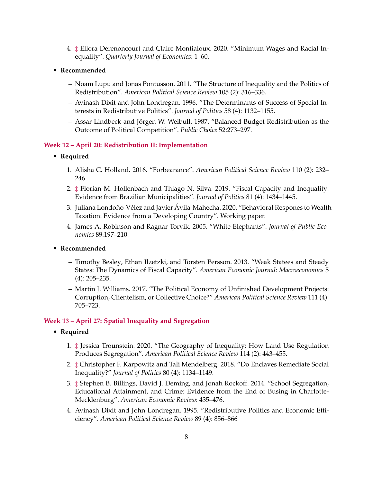- 4. ‡ Ellora Derenoncourt and Claire Montialoux. 2020. "Minimum Wages and Racial Inequality". *Quarterly Journal of Economics*: 1–60.
- **Recommended**
	- **–** Noam Lupu and Jonas Pontusson. 2011. "The Structure of Inequality and the Politics of Redistribution". *American Political Science Review* 105 (2): 316–336.
	- **–** Avinash Dixit and John Londregan. 1996. "The Determinants of Success of Special Interests in Redistributive Politics". *Journal of Politics* 58 (4): 1132–1155.
	- **–** Assar Lindbeck and Jorgen W. Weibull. 1987. "Balanced-Budget Redistribution as the ¨ Outcome of Political Competition". *Public Choice* 52:273–297.

#### **Week 12 – April 20: Redistribution II: Implementation**

- **Required**
	- 1. Alisha C. Holland. 2016. "Forbearance". *American Political Science Review* 110 (2): 232– 246
	- 2. ‡ Florian M. Hollenbach and Thiago N. Silva. 2019. "Fiscal Capacity and Inequality: Evidence from Brazilian Municipalities". *Journal of Politics* 81 (4): 1434–1445.
	- 3. Juliana Londoño-Vélez and Javier Ávila-Mahecha. 2020. "Behavioral Respones to Wealth Taxation: Evidence from a Developing Country". Working paper.
	- 4. James A. Robinson and Ragnar Torvik. 2005. "White Elephants". *Journal of Public Economics* 89:197–210.
- **Recommended**
	- **–** Timothy Besley, Ethan Ilzetzki, and Torsten Persson. 2013. "Weak Statees and Steady States: The Dynamics of Fiscal Capacity". *American Economic Journal: Macroeconomics* 5 (4): 205–235.
	- **–** Martin J. Williams. 2017. "The Political Economy of Unfinished Development Projects: Corruption, Clientelism, or Collective Choice?" *American Political Science Review* 111 (4): 705–723.

#### **Week 13 – April 27: Spatial Inequality and Segregation**

- **Required**
	- 1. ‡ Jessica Trounstein. 2020. "The Geography of Inequality: How Land Use Regulation Produces Segregation". *American Political Science Review* 114 (2): 443–455.
	- 2. ‡ Christopher F. Karpowitz and Tali Mendelberg. 2018. "Do Enclaves Remediate Social Inequality?" *Journal of Politics* 80 (4): 1134–1149.
	- 3. ‡ Stephen B. Billings, David J. Deming, and Jonah Rockoff. 2014. "School Segregation, Educational Attainment, and Crime: Evidence from the End of Busing in Charlotte-Mecklenburg". *American Economic Review*: 435–476.
	- 4. Avinash Dixit and John Londregan. 1995. "Redistributive Politics and Economic Efficiency". *American Political Science Review* 89 (4): 856–866